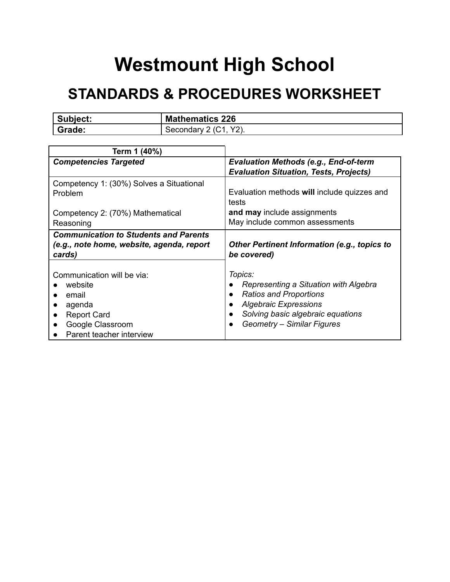## **Westmount High School**

## **STANDARDS & PROCEDURES WORKSHEET**

| Subject: | <b>Mathematics 226</b>                   |
|----------|------------------------------------------|
| Grade:   | $Y2$ ).<br>$\Omega$ (C.1).<br>Secondary: |

| Term 1 (40%)                                                                                        |                                                                    |
|-----------------------------------------------------------------------------------------------------|--------------------------------------------------------------------|
| <b>Competencies Targeted</b>                                                                        | <b>Evaluation Methods (e.g., End-of-term</b>                       |
|                                                                                                     | <b>Evaluation Situation, Tests, Projects)</b>                      |
| Competency 1: (30%) Solves a Situational<br>Problem                                                 | Evaluation methods will include quizzes and<br>tests               |
| Competency 2: (70%) Mathematical                                                                    | and may include assignments                                        |
| Reasoning                                                                                           | May include common assessments                                     |
| <b>Communication to Students and Parents</b><br>(e.g., note home, website, agenda, report<br>cards) | <b>Other Pertinent Information (e.g., topics to</b><br>be covered) |
| Communication will be via:                                                                          | Topics:                                                            |
| website                                                                                             | Representing a Situation with Algebra                              |
| email<br>$\bullet$                                                                                  | <b>Ratios and Proportions</b>                                      |
| agenda                                                                                              | <b>Algebraic Expressions</b>                                       |
| <b>Report Card</b>                                                                                  | Solving basic algebraic equations                                  |
| Google Classroom                                                                                    | Geometry - Similar Figures                                         |
| Parent teacher interview                                                                            |                                                                    |